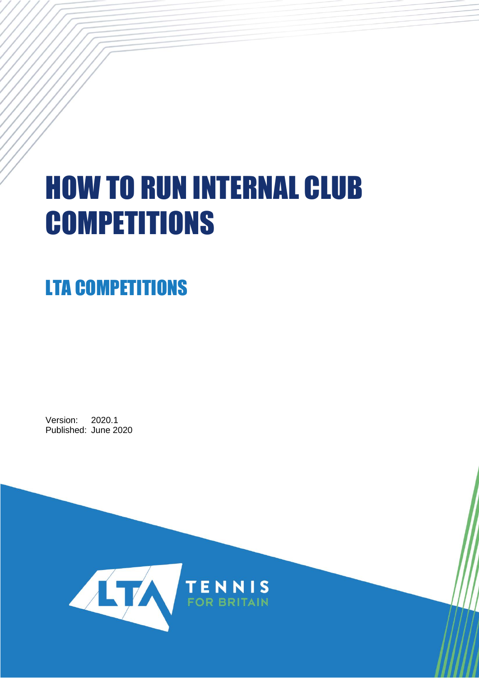# HOW TO RUN INTERNAL CLUB **COMPETITIONS**

## LTA COMPETITIONS

Version: 2020.1 Published: June 2020

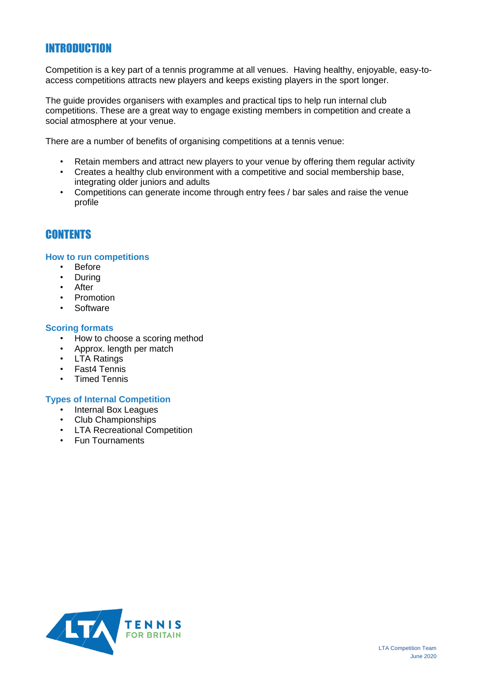## INTRODUCTION

Competition is a key part of a tennis programme at all venues. Having healthy, enjoyable, easy-toaccess competitions attracts new players and keeps existing players in the sport longer.

The guide provides organisers with examples and practical tips to help run internal club competitions. These are a great way to engage existing members in competition and create a social atmosphere at your venue.

There are a number of benefits of organising competitions at a tennis venue:

- Retain members and attract new players to your venue by offering them regular activity
- Creates a healthy club environment with a competitive and social membership base, integrating older juniors and adults
- Competitions can generate income through entry fees / bar sales and raise the venue profile

## **CONTENTS**

#### **How to run competitions**

- Before
- During
- After
- Promotion
- Software

#### **Scoring formats**

- How to choose a scoring method
- Approx. length per match
- LTA Ratings
- Fast4 Tennis
- Timed Tennis

### **Types of Internal Competition**

- Internal Box Leagues
- Club Championships
- LTA Recreational Competition
- Fun Tournaments

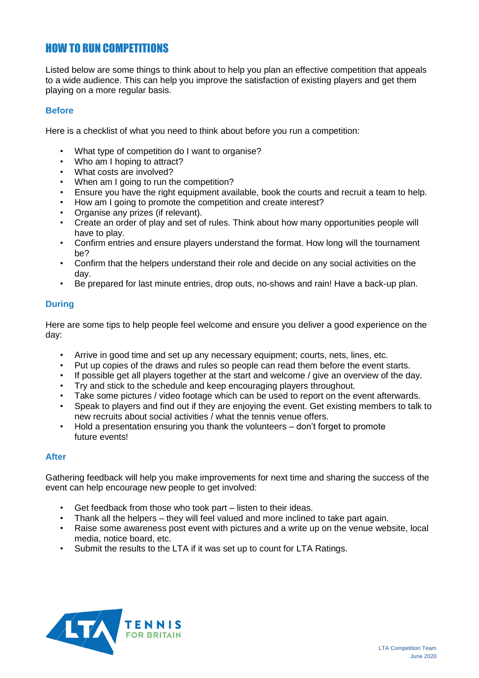## HOW TO RUN COMPETITIONS

Listed below are some things to think about to help you plan an effective competition that appeals to a wide audience. This can help you improve the satisfaction of existing players and get them playing on a more regular basis.

## **Before**

Here is a checklist of what you need to think about before you run a competition:

- What type of competition do I want to organise?
- Who am I hoping to attract?
- What costs are involved?
- When am I going to run the competition?
- Ensure you have the right equipment available, book the courts and recruit a team to help.
- How am I going to promote the competition and create interest?
- Organise any prizes (if relevant).
- Create an order of play and set of rules. Think about how many opportunities people will have to play.
- Confirm entries and ensure players understand the format. How long will the tournament be?
- Confirm that the helpers understand their role and decide on any social activities on the day.
- Be prepared for last minute entries, drop outs, no-shows and rain! Have a back-up plan.

## **During**

Here are some tips to help people feel welcome and ensure you deliver a good experience on the day:

- Arrive in good time and set up any necessary equipment; courts, nets, lines, etc.
- Put up copies of the draws and rules so people can read them before the event starts.
- If possible get all players together at the start and welcome / give an overview of the day.
- Try and stick to the schedule and keep encouraging players throughout.
- Take some pictures / video footage which can be used to report on the event afterwards.
- Speak to players and find out if they are enjoying the event. Get existing members to talk to new recruits about social activities / what the tennis venue offers.
- Hold a presentation ensuring you thank the volunteers don't forget to promote future events!

## **After**

Gathering feedback will help you make improvements for next time and sharing the success of the event can help encourage new people to get involved:

- Get feedback from those who took part listen to their ideas.
- Thank all the helpers they will feel valued and more inclined to take part again.
- Raise some awareness post event with pictures and a write up on the venue website, local media, notice board, etc.
- Submit the results to the LTA if it was set up to count for LTA Ratings.

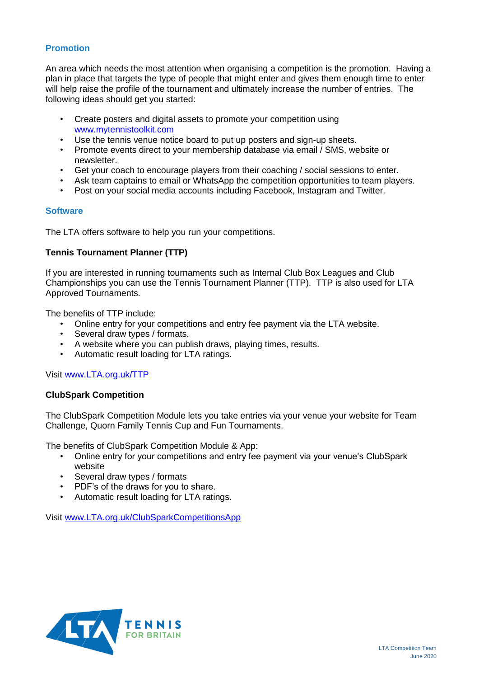## **Promotion**

An area which needs the most attention when organising a competition is the promotion. Having a plan in place that targets the type of people that might enter and gives them enough time to enter will help raise the profile of the tournament and ultimately increase the number of entries. The following ideas should get you started:

- Create posters and digital assets to promote your competition using [www.mytennistoolkit.com](http://www.mytennistoolkit.com/)
- Use the tennis venue notice board to put up posters and sign-up sheets.
- Promote events direct to your membership database via email / SMS, website or newsletter.
- Get your coach to encourage players from their coaching / social sessions to enter.
- Ask team captains to email or WhatsApp the competition opportunities to team players.
- Post on your social media accounts including Facebook, Instagram and Twitter.

## **Software**

The LTA offers software to help you run your competitions.

## **Tennis Tournament Planner (TTP)**

If you are interested in running tournaments such as Internal Club Box Leagues and Club Championships you can use the Tennis Tournament Planner (TTP). TTP is also used for LTA Approved Tournaments.

The benefits of TTP include:

- Online entry for your competitions and entry fee payment via the LTA website.
- Several draw types / formats.
- A website where you can publish draws, playing times, results.
- Automatic result loading for LTA ratings.

Visit [www.LTA.org.uk/TTP](http://www.lta.org.uk/TTP)

## **ClubSpark Competition**

The ClubSpark Competition Module lets you take entries via your venue your website for Team Challenge, Quorn Family Tennis Cup and Fun Tournaments.

The benefits of ClubSpark Competition Module & App:

- Online entry for your competitions and entry fee payment via your venue's ClubSpark website
- Several draw types / formats
- PDF's of the draws for you to share.
- Automatic result loading for LTA ratings.

Visit [www.LTA.org.uk/ClubSparkCompetitionsApp](http://www.lta.org.uk/ClubSparkCompetitionsApp)

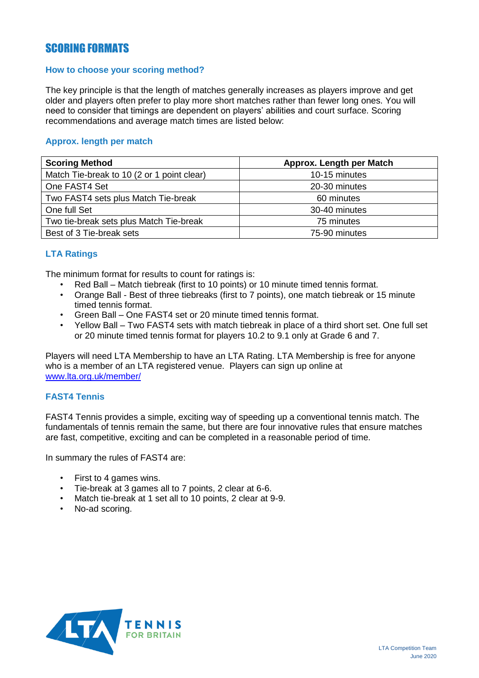## SCORING FORMATS

## **How to choose your scoring method?**

The key principle is that the length of matches generally increases as players improve and get older and players often prefer to play more short matches rather than fewer long ones. You will need to consider that timings are dependent on players' abilities and court surface. Scoring recommendations and average match times are listed below:

## **Approx. length per match**

| <b>Scoring Method</b>                      | Approx. Length per Match |
|--------------------------------------------|--------------------------|
| Match Tie-break to 10 (2 or 1 point clear) | 10-15 minutes            |
| One FAST4 Set                              | 20-30 minutes            |
| Two FAST4 sets plus Match Tie-break        | 60 minutes               |
| One full Set                               | 30-40 minutes            |
| Two tie-break sets plus Match Tie-break    | 75 minutes               |
| Best of 3 Tie-break sets                   | 75-90 minutes            |

## **LTA Ratings**

The minimum format for results to count for ratings is:

- Red Ball Match tiebreak (first to 10 points) or 10 minute timed tennis format.
- Orange Ball Best of three tiebreaks (first to 7 points), one match tiebreak or 15 minute timed tennis format.
- Green Ball One FAST4 set or 20 minute timed tennis format.
- Yellow Ball Two FAST4 sets with match tiebreak in place of a third short set. One full set or 20 minute timed tennis format for players 10.2 to 9.1 only at Grade 6 and 7.

Players will need LTA Membership to have an LTA Rating. LTA Membership is free for anyone who is a member of an LTA registered venue. Players can sign up online at [www.lta.org.uk/member/](http://www.lta.org.uk/member/)

## **FAST4 Tennis**

FAST4 Tennis provides a simple, exciting way of speeding up a conventional tennis match. The fundamentals of tennis remain the same, but there are four innovative rules that ensure matches are fast, competitive, exciting and can be completed in a reasonable period of time.

In summary the rules of FAST4 are:

- First to 4 games wins.
- Tie-break at 3 games all to 7 points, 2 clear at 6-6.
- Match tie-break at 1 set all to 10 points, 2 clear at 9-9.
- No-ad scoring.

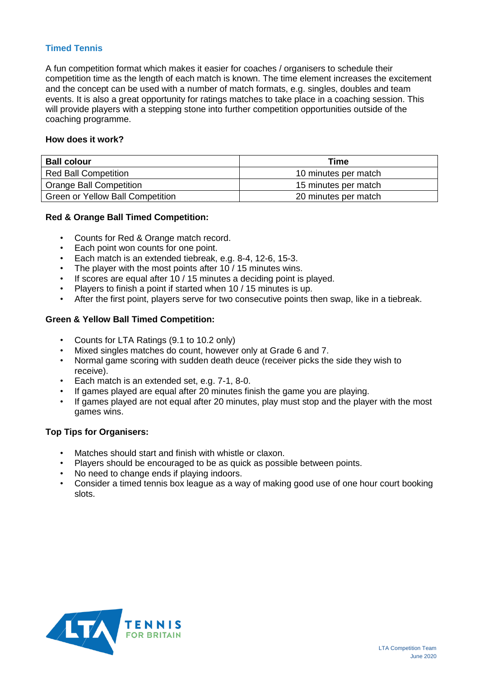## **Timed Tennis**

A fun competition format which makes it easier for coaches / organisers to schedule their competition time as the length of each match is known. The time element increases the excitement and the concept can be used with a number of match formats, e.g. singles, doubles and team events. It is also a great opportunity for ratings matches to take place in a coaching session. This will provide players with a stepping stone into further competition opportunities outside of the coaching programme.

## **How does it work?**

| <b>Ball colour</b>                      | Time                 |
|-----------------------------------------|----------------------|
| <b>Red Ball Competition</b>             | 10 minutes per match |
| Orange Ball Competition                 | 15 minutes per match |
| <b>Green or Yellow Ball Competition</b> | 20 minutes per match |

## **Red & Orange Ball Timed Competition:**

- Counts for Red & Orange match record.
- Each point won counts for one point.
- Each match is an extended tiebreak, e.g. 8-4, 12-6, 15-3.
- The player with the most points after 10 / 15 minutes wins.
- If scores are equal after 10 / 15 minutes a deciding point is played.
- Players to finish a point if started when 10 / 15 minutes is up.
- After the first point, players serve for two consecutive points then swap, like in a tiebreak.

## **Green & Yellow Ball Timed Competition:**

- Counts for LTA Ratings (9.1 to 10.2 only)
- Mixed singles matches do count, however only at Grade 6 and 7.
- Normal game scoring with sudden death deuce (receiver picks the side they wish to receive).
- Each match is an extended set, e.g. 7-1, 8-0.
- If games played are equal after 20 minutes finish the game you are playing.
- If games played are not equal after 20 minutes, play must stop and the player with the most games wins.

### **Top Tips for Organisers:**

- Matches should start and finish with whistle or claxon.
- Players should be encouraged to be as quick as possible between points.
- No need to change ends if playing indoors.
- Consider a timed tennis box league as a way of making good use of one hour court booking slots.

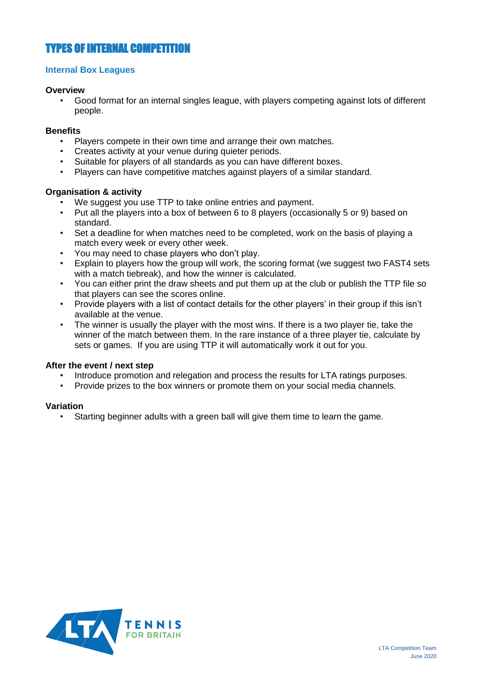## TYPES OF INTERNAL COMPETITION

## **Internal Box Leagues**

## **Overview**

• Good format for an internal singles league, with players competing against lots of different people.

## **Benefits**

- Players compete in their own time and arrange their own matches.
- Creates activity at your venue during quieter periods.
- Suitable for players of all standards as you can have different boxes.
- Players can have competitive matches against players of a similar standard.

## **Organisation & activity**

- We suggest you use TTP to take online entries and payment.
- Put all the players into a box of between 6 to 8 players (occasionally 5 or 9) based on standard.
- Set a deadline for when matches need to be completed, work on the basis of playing a match every week or every other week.
- You may need to chase players who don't play.
- Explain to players how the group will work, the scoring format (we suggest two FAST4 sets with a match tiebreak), and how the winner is calculated.
- You can either print the draw sheets and put them up at the club or publish the TTP file so that players can see the scores online.
- Provide players with a list of contact details for the other players' in their group if this isn't available at the venue.
- The winner is usually the player with the most wins. If there is a two player tie, take the winner of the match between them. In the rare instance of a three player tie, calculate by sets or games. If you are using TTP it will automatically work it out for you.

## **After the event / next step**

- Introduce promotion and relegation and process the results for LTA ratings purposes.
- Provide prizes to the box winners or promote them on your social media channels.

## **Variation**

• Starting beginner adults with a green ball will give them time to learn the game.

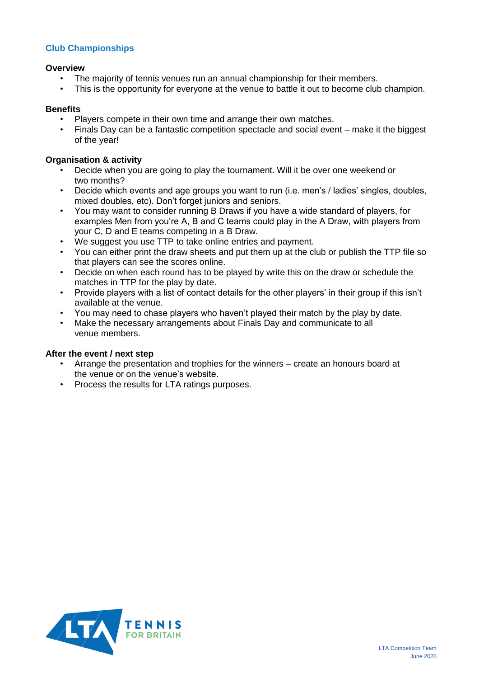## **Club Championships**

## **Overview**

- The majority of tennis venues run an annual championship for their members.
- This is the opportunity for everyone at the venue to battle it out to become club champion.

## **Benefits**

- Players compete in their own time and arrange their own matches.
- Finals Day can be a fantastic competition spectacle and social event make it the biggest of the year!

## **Organisation & activity**

- Decide when you are going to play the tournament. Will it be over one weekend or two months?
- Decide which events and age groups you want to run (i.e. men's / ladies' singles, doubles, mixed doubles, etc). Don't forget juniors and seniors.
- You may want to consider running B Draws if you have a wide standard of players, for examples Men from you're A, B and C teams could play in the A Draw, with players from your C, D and E teams competing in a B Draw.
- We suggest you use TTP to take online entries and payment.
- You can either print the draw sheets and put them up at the club or publish the TTP file so that players can see the scores online.
- Decide on when each round has to be played by write this on the draw or schedule the matches in TTP for the play by date.
- Provide players with a list of contact details for the other players' in their group if this isn't available at the venue.
- You may need to chase players who haven't played their match by the play by date.
- Make the necessary arrangements about Finals Day and communicate to all venue members.

### **After the event / next step**

- Arrange the presentation and trophies for the winners create an honours board at the venue or on the venue's website.
- Process the results for LTA ratings purposes.

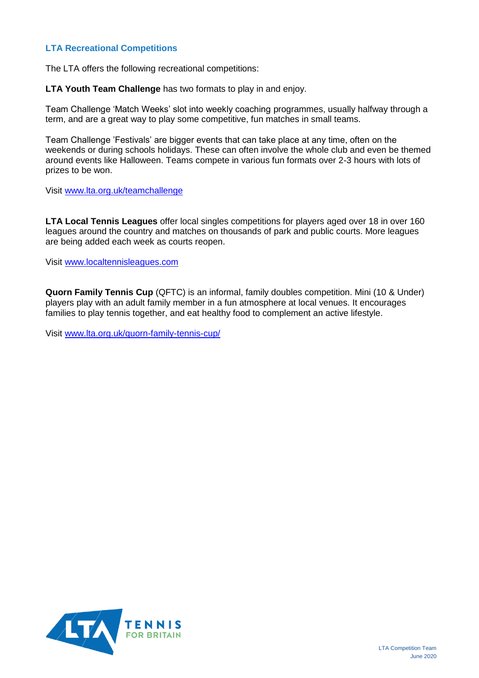## **LTA Recreational Competitions**

The LTA offers the following recreational competitions:

**LTA Youth Team Challenge** has two formats to play in and enjoy.

Team Challenge 'Match Weeks' slot into weekly coaching programmes, usually halfway through a term, and are a great way to play some competitive, fun matches in small teams.

Team Challenge 'Festivals' are bigger events that can take place at any time, often on the weekends or during schools holidays. These can often involve the whole club and even be themed around events like Halloween. Teams compete in various fun formats over 2-3 hours with lots of prizes to be won.

Visit [www.lta.org.uk/teamchallenge](http://www.lta.org.uk/teamchallenge)

**LTA Local Tennis Leagues** offer local singles competitions for players aged over 18 in over 160 leagues around the country and matches on thousands of park and public courts. More leagues are being added each week as courts reopen.

Visit [www.localtennisleagues.com](http://www.localtennisleagues.com/)

**Quorn Family Tennis Cup** (QFTC) is an informal, family doubles competition. Mini (10 & Under) players play with an adult family member in a fun atmosphere at local venues. It encourages families to play tennis together, and eat healthy food to complement an active lifestyle.

Visit [www.lta.org.uk/quorn-family-tennis-cup/](http://www.lta.org.uk/quorn-family-tennis-cup/)

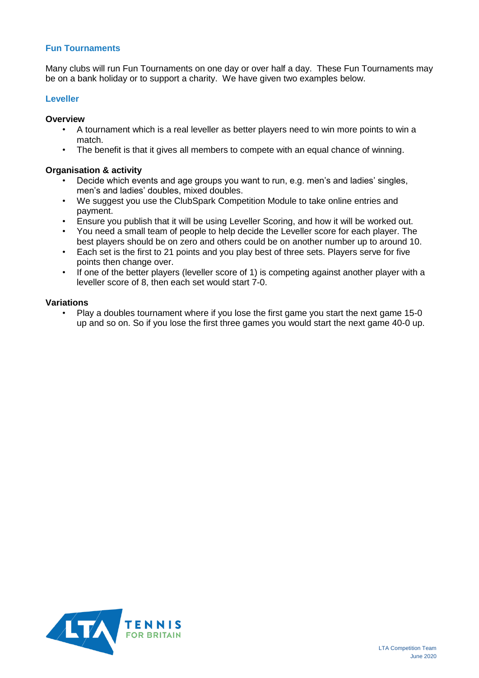## **Fun Tournaments**

Many clubs will run Fun Tournaments on one day or over half a day. These Fun Tournaments may be on a bank holiday or to support a charity. We have given two examples below.

## **Leveller**

## **Overview**

- A tournament which is a real leveller as better players need to win more points to win a match.
- The benefit is that it gives all members to compete with an equal chance of winning.

## **Organisation & activity**

- Decide which events and age groups you want to run, e.g. men's and ladies' singles, men's and ladies' doubles, mixed doubles.
- We suggest you use the ClubSpark Competition Module to take online entries and payment.
- Ensure you publish that it will be using Leveller Scoring, and how it will be worked out.
- You need a small team of people to help decide the Leveller score for each player. The best players should be on zero and others could be on another number up to around 10.
- Each set is the first to 21 points and you play best of three sets. Players serve for five points then change over.
- If one of the better players (leveller score of 1) is competing against another player with a leveller score of 8, then each set would start 7-0.

## **Variations**

• Play a doubles tournament where if you lose the first game you start the next game 15-0 up and so on. So if you lose the first three games you would start the next game 40-0 up.